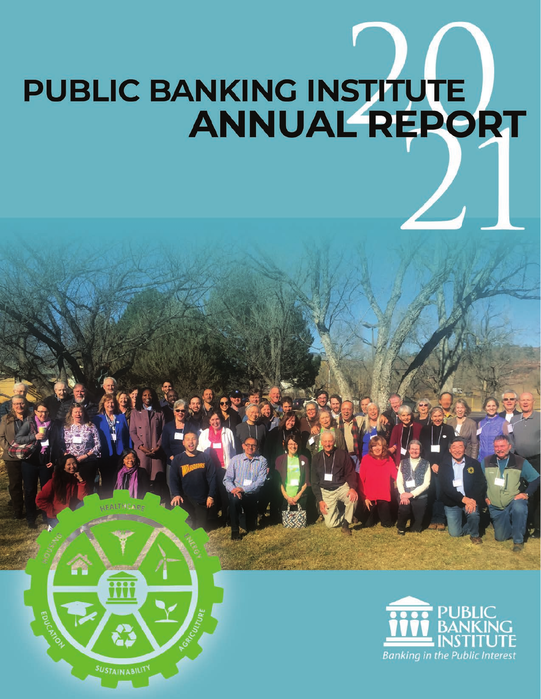# **PUBLIC BANKING INSTITUTE<br>ANNUAL REPORT**



SUSTAINABILITY

 $\bullet \bullet \bullet \bullet$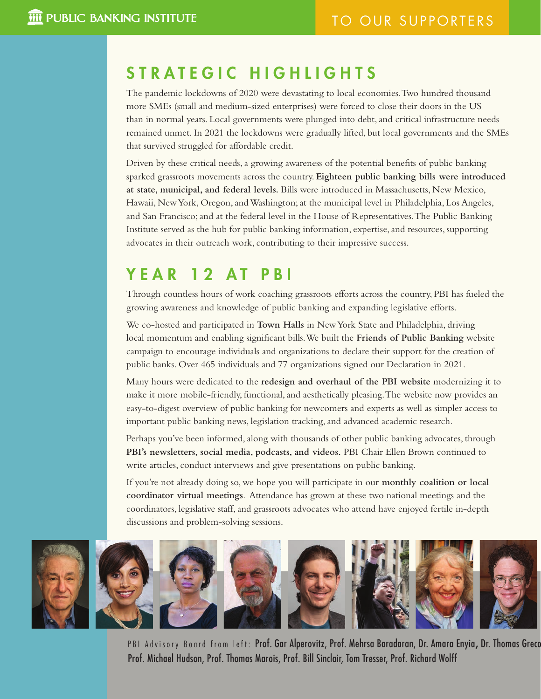### STRATEGIC HIGHLIGHTS

The pandemic lockdowns of 2020 were devastating to local economies. Two hundred thousand more SMEs (small and medium-sized enterprises) were forced to close their doors in the US than in normal years. Local governments were plunged into debt, and critical infrastructure needs remained unmet. In 2021 the lockdowns were gradually lifted, but local governments and the SMEs that survived struggled for affordable credit.

Driven by these critical needs, a growing awareness of the potential benefits of public banking sparked grassroots movements across the country. **Eighteen public banking bills were introduced at state, municipal, and federal levels.** Bills were introduced in Massachusetts, New Mexico, Hawaii, New York, Oregon, and Washington; at the municipal level in Philadelphia, Los Angeles, and San Francisco; and at the federal level in the House of Representatives. The Public Banking Institute served as the hub for public banking information, expertise, and resources, supporting advocates in their outreach work, contributing to their impressive success.

### YEAR 12 AT PBI

Through countless hours of work coaching grassroots efforts across the country, PBI has fueled the growing awareness and knowledge of public banking and expanding legislative efforts.

We co-hosted and participated in **Town Halls** in New York State and Philadelphia, driving local momentum and enabling significant bills. We built the **Friends of Public Banking** website campaign to encourage individuals and organizations to declare their support for the creation of public banks. Over 465 individuals and 77 organizations signed our Declaration in 2021.

Many hours were dedicated to the **redesign and overhaul of the PBI website** modernizing it to make it more mobile-friendly, functional, and aesthetically pleasing. The website now provides an easy-to-digest overview of public banking for newcomers and experts as well as simpler access to important public banking news, legislation tracking, and advanced academic research.

Perhaps you've been informed, along with thousands of other public banking advocates, through **PBI's newsletters, social media, podcasts, and videos.** PBI Chair Ellen Brown continued to write articles, conduct interviews and give presentations on public banking.

If you're not already doing so, we hope you will participate in our **monthly coalition or local coordinator virtual meetings**. Attendance has grown at these two national meetings and the coordinators, legislative staff, and grassroots advocates who attend have enjoyed fertile in-depth discussions and problem-solving sessions.



PBI Advisory Board from left: Prof. Gar Alperovitz, Prof. Mehrsa Baradaran, Dr. Amara Enyia, Dr. Thomas Greco Prof. Michael Hudson, Prof. Thomas Marois, Prof. Bill Sinclair, Tom Tresser, Prof. Richard Wolff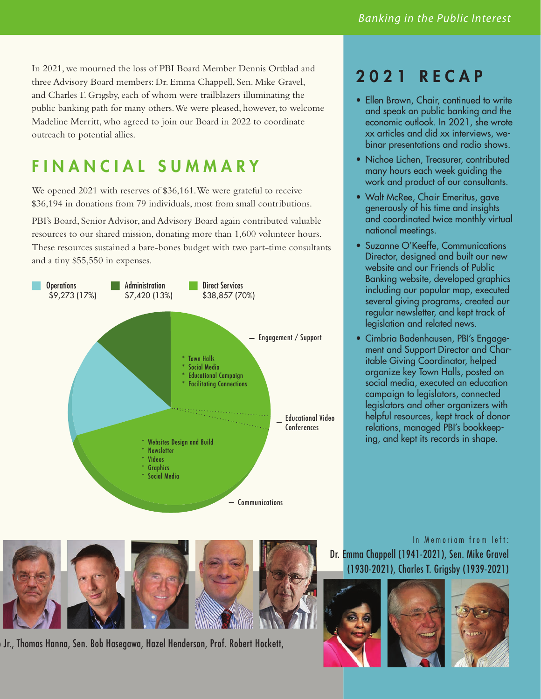In 2021, we mourned the loss of PBI Board Member Dennis Ortblad and three Advisory Board members: Dr. Emma Chappell, Sen. Mike Gravel, and Charles T. Grigsby, each of whom were trailblazers illuminating the public banking path for many others. We were pleased, however, to welcome Madeline Merritt, who agreed to join our Board in 2022 to coordinate outreach to potential allies.

# FINANCIAL SUMMARY

We opened 2021 with reserves of \$36,161. We were grateful to receive \$36,194 in donations from 79 individuals, most from small contributions.

PBI's Board, Senior Advisor, and Advisory Board again contributed valuable resources to our shared mission, donating more than 1,600 volunteer hours. These resources sustained a bare-bones budget with two part-time consultants and a tiny \$55,550 in expenses.



## 2021 RECAP

- Ellen Brown, Chair, continued to write and speak on public banking and the economic outlook. In 2021, she wrote xx articles and did xx interviews, webinar presentations and radio shows.
- Nichoe Lichen, Treasurer, contributed many hours each week guiding the work and product of our consultants.
- Walt McRee, Chair Emeritus, gave generously of his time and insights and coordinated twice monthly virtual national meetings.
- Suzanne O'Keeffe, Communications Director, designed and built our new website and our Friends of Public Banking website, developed graphics including our popular map, executed several giving programs, created our regular newsletter, and kept track of legislation and related news.
- Cimbria Badenhausen, PBI's Engagement and Support Director and Charitable Giving Coordinator, helped organize key Town Halls, posted on social media, executed an education campaign to legislators, connected legislators and other organizers with helpful resources, kept track of donor relations, managed PBI's bookkeeping, and kept its records in shape.



Jr., Thomas Hanna, Sen. Bob Hasegawa, Hazel Henderson, Prof. Robert Hockett,

In Memoriam from left: Dr. Emma Chappell (1941-2021), Sen. Mike Gravel (1930-2021), Charles T. Grigsby (1939-2021)